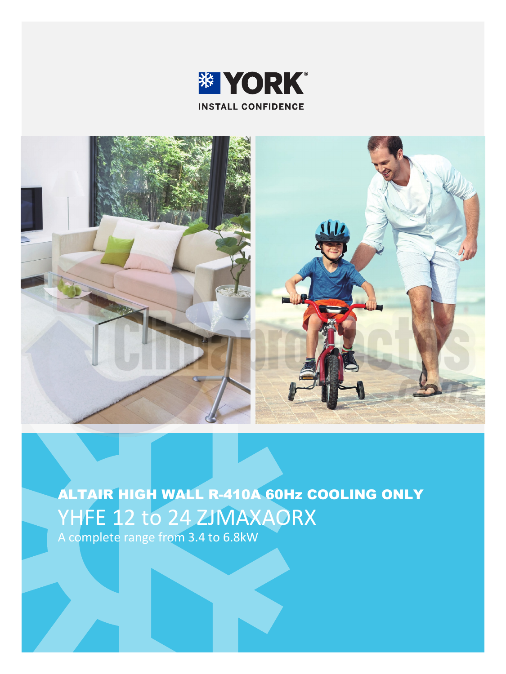



ALTAIR HIGH WALL R-410A 60Hz COOLING ONLY YHFE 12 to 24 ZJMAXAORX A complete range from 3.4 to 6.8kW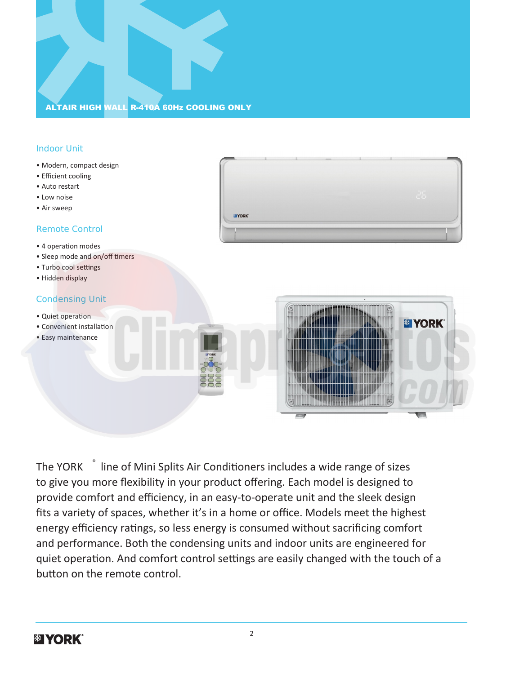# ALTAIR HIGH WALL R-410A 60Hz COOLING ONLY

### Indoor Unit

- Modern, compact design
- Efficient cooling
- Auto restart
- Low noise
- Air sweep

### Remote Control

- 4 operation modes
- Sleep mode and on/off timers
- Turbo cool settings
- Hidden display

### Condensing Unit

- Quiet operation
- Convenient installation
- Easy maintenance

**ELYORK** 

**IF YORK** 

The YORK ® line of Mini Splits Air Conditioners includes a wide range of sizes to give you more flexibility in your product offering. Each model is designed to provide comfort and efficiency, in an easy-to-operate unit and the sleek design fits a variety of spaces, whether it's in a home or office. Models meet the highest energy efficiency ratings, so less energy is consumed without sacrificing comfort and performance. Both the condensing units and indoor units are engineered for quiet operation. And comfort control settings are easily changed with the touch of a button on the remote control.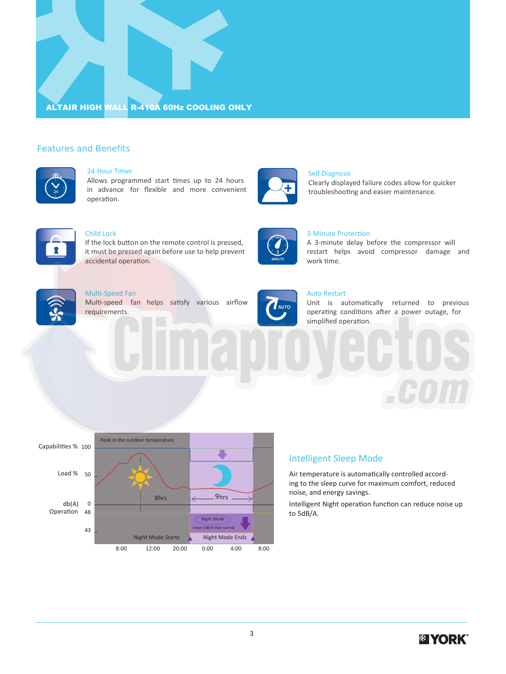

### Features and Benefits



#### 24-Hour Timer

Allows programmed start times up to 24 hours in advance for flexible and more convenient operation.



## Child Lock

If the lock button on the remote control is pressed, it must be pressed again before use to help prevent accidental operation.



#### Multi-Speed Fan

Multi-speed fan helps satisfy various airflow requirements.



**AUTO** 

#### Auto Restart

work time.

3-Minute Protection

Self Diagnosis

Unit is automatically returned to previous operating conditions after a power outage, for simplified operation.

A 3-minute delay before the compressor will restart helps avoid compressor damage and

Clearly displayed failure codes allow for quicker troubleshooting and easier maintenance.



Intelligent Night operation function can reduce noise up to 5dB/A.